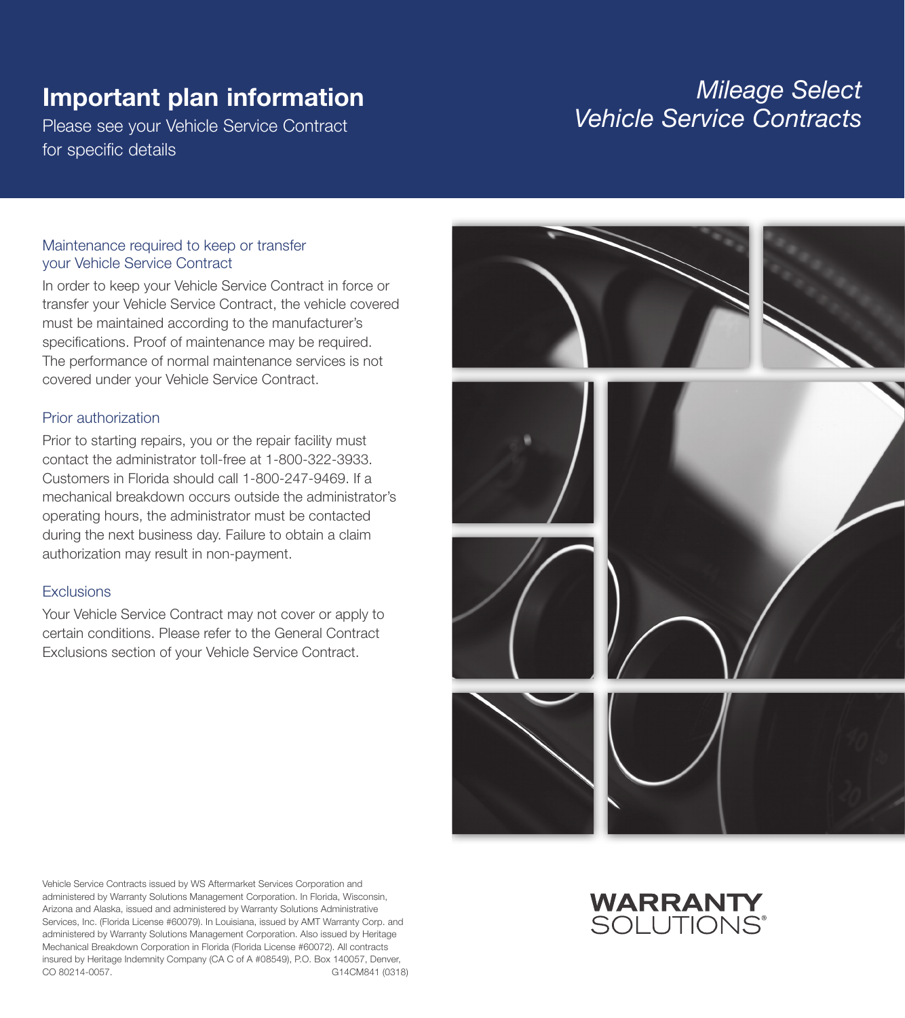# Important plan information

Please see your Vehicle Service Contract for specific details

## *Mileage Select Vehicle Service Contracts*

#### Maintenance required to keep or transfer your Vehicle Service Contract

In order to keep your Vehicle Service Contract in force or transfer your Vehicle Service Contract, the vehicle covered must be maintained according to the manufacturer's specifications. Proof of maintenance may be required. The performance of normal maintenance services is not covered under your Vehicle Service Contract.

#### Prior authorization

Prior to starting repairs, you or the repair facility must contact the administrator toll-free at 1-800-322-3933. Customers in Florida should call 1-800-247-9469. If a mechanical breakdown occurs outside the administrator's operating hours, the administrator must be contacted during the next business day. Failure to obtain a claim authorization may result in non-payment.

#### **Exclusions**

Your Vehicle Service Contract may not cover or apply to certain conditions. Please refer to the General Contract Exclusions section of your Vehicle Service Contract.



Vehicle Service Contracts issued by WS Aftermarket Services Corporation and administered by Warranty Solutions Management Corporation. In Florida, Wisconsin, Arizona and Alaska, issued and administered by Warranty Solutions Administrative Services, Inc. (Florida License #60079). In Louisiana, issued by AMT Warranty Corp. and administered by Warranty Solutions Management Corporation. Also issued by Heritage Mechanical Breakdown Corporation in Florida (Florida License #60072). All contracts insured by Heritage Indemnity Company (CA C of A #08549), P.O. Box 140057, Denver, CO 80214-0057. G14CM841 (0318)

## **WARRANTY** SOI UTIONS